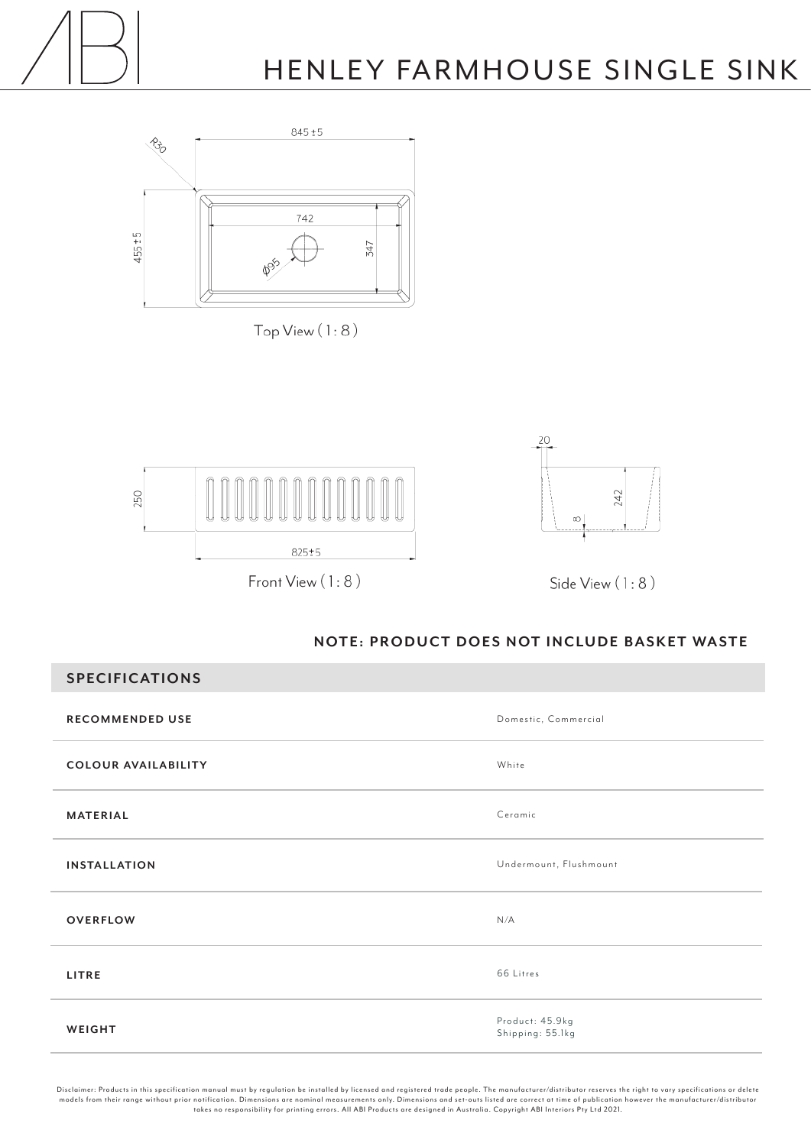



 $TopView(1:8)$ 





Side View (1:8)

## **NOTE: PRODUCT DOES NOT INCLUDE BASKET WASTE**

| <b>SPECIFICATIONS</b>      |                                     |
|----------------------------|-------------------------------------|
| <b>RECOMMENDED USE</b>     | Domestic, Commercial                |
| <b>COLOUR AVAILABILITY</b> | White                               |
| <b>MATERIAL</b>            | Ceramic                             |
| <b>INSTALLATION</b>        | Undermount, Flushmount              |
| <b>OVERFLOW</b>            | N/A                                 |
| LITRE                      | 66 Litres                           |
| WEIGHT                     | Product: 45.9kg<br>Shipping: 55.1kg |

Disclaimer: Products in this specification manual must by regulation be installed by licensed and registered trade people. The manufacturer/distributor reser ves the right to var y specifications or delete models from their range without prior notification. Dimensions are nominal measurements only. Dimensions and set-outs listed are correct at time of publication however the manufacturer/distributor<br>takes no responsibility f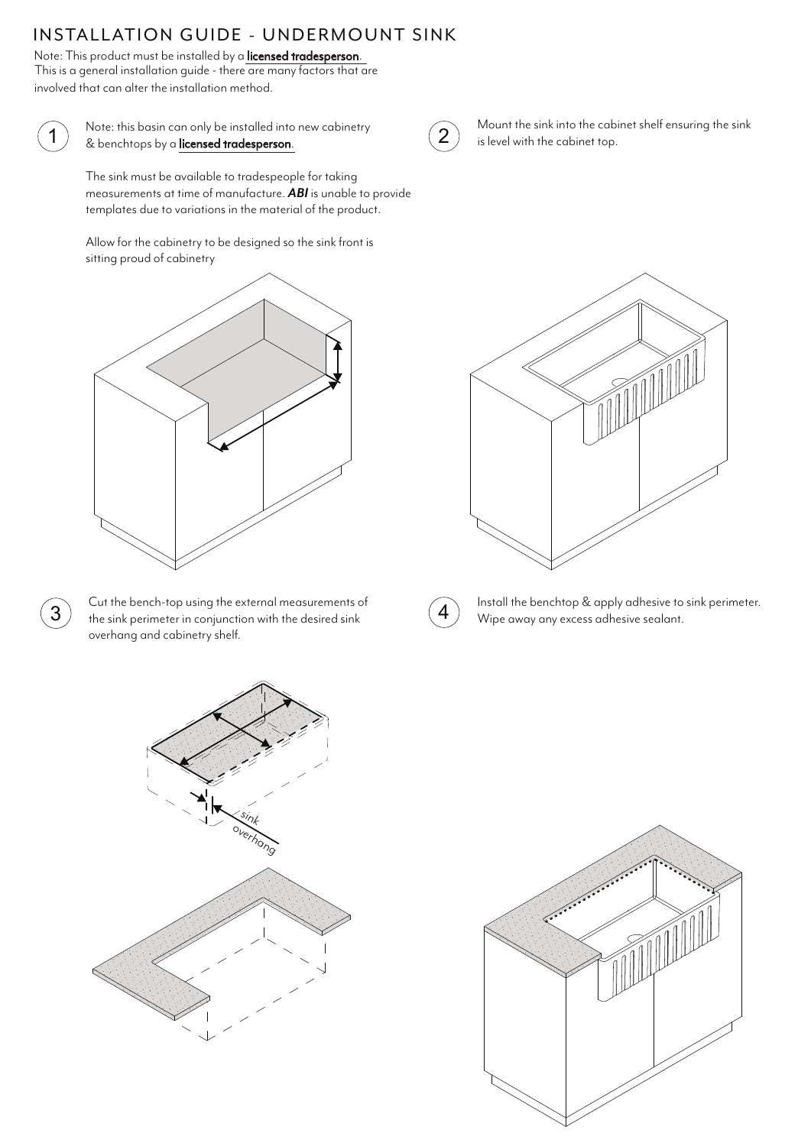## INSTALLATION GUIDE - UNDERMOUNT SINK

Note: This product must be installed by a **licensed tradesperson**.<br>This is a general installation guide - there are many factors that are involved that can alter the installation method.



Note: this basin can only be installed into new cabinetry The contract of the mission control of the mission control of the control of the control of the control of the control of the control of the control of the control of the control of the control of the control of the contro

The sink must be available to tradespeople for taking measurements at time of manufacture. *ABI* is unable to provide templates due to variations in the material of the product.

Allow for the cabinetry to be designed so the sink front is sitting proud of cabinetry



 $\overline{3}$  Cut the bench-top using the external measurements of the sink perimeter in conjunction with the desired sink overhang and cabinetry shelf.



Mount the sink into the cabinet shelf ensuring the sink is level with the cabinet top.





Install the benchtop & apply adhesive to sink perimeter. Wipe away any excess adhesive sealant.